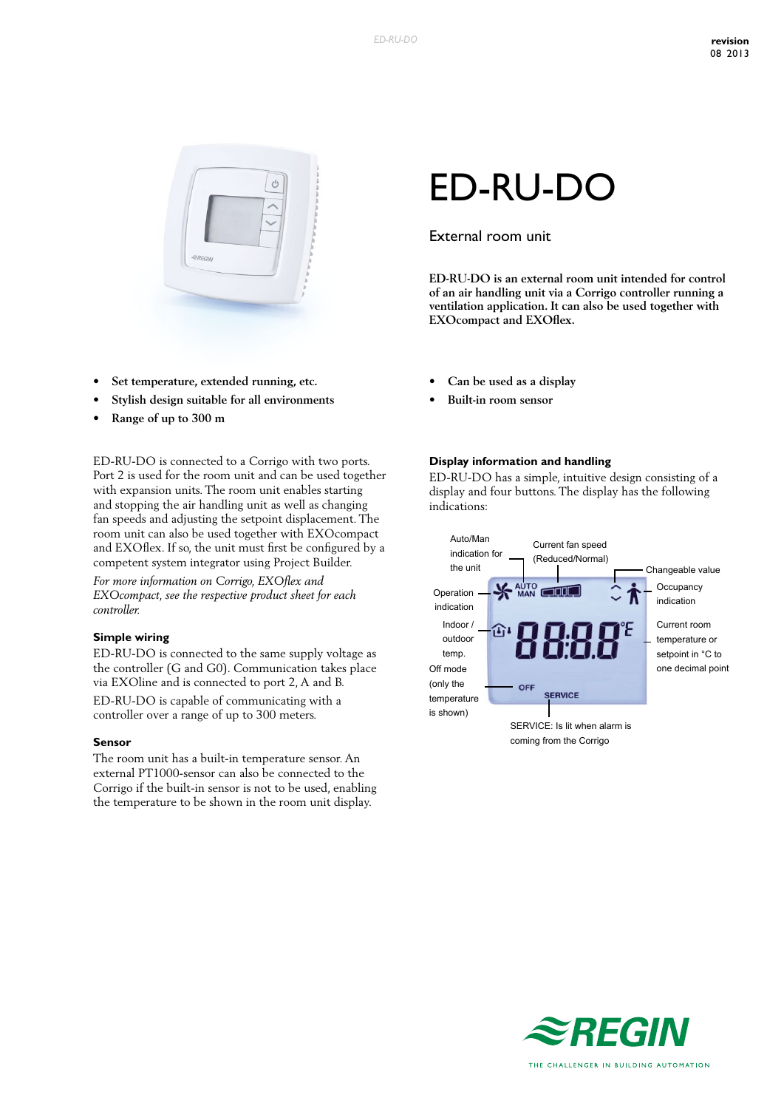

- **• Set temperature, extended running, etc.**
- **• Stylish design suitable for all environments**
- **• Range of up to 300 m**

ED-RU-DO is connected to a Corrigo with two ports. Port 2 is used for the room unit and can be used together with expansion units. The room unit enables starting and stopping the air handling unit as well as changing fan speeds and adjusting the setpoint displacement. The room unit can also be used together with EXOcompact and EXOflex. If so, the unit must first be configured by a competent system integrator using Project Builder.

*For more information on Corrigo, EXOflex and EXOcompact, see the respective product sheet for each controller.*

#### **Simple wiring**

ED-RU-DO is connected to the same supply voltage as the controller (G and G0). Communication takes place via EXOline and is connected to port 2, A and B.

ED-RU-DO is capable of communicating with a controller over a range of up to 300 meters.

#### **Sensor**

The room unit has a built-in temperature sensor. An external PT1000-sensor can also be connected to the Corrigo if the built-in sensor is not to be used, enabling the temperature to be shown in the room unit display.

# ED-RU-DO

# External room unit

**ED-RU-DO is an external room unit intended for control of an air handling unit via a Corrigo controller running a ventilation application. It can also be used together with EXOcompact and EXOflex.**

- **• Can be used as a display**
- **• Built-in room sensor**

#### **Display information and handling**

ED-RU-DO has a simple, intuitive design consisting of a display and four buttons. The display has the following indications:



coming from the Corrigo

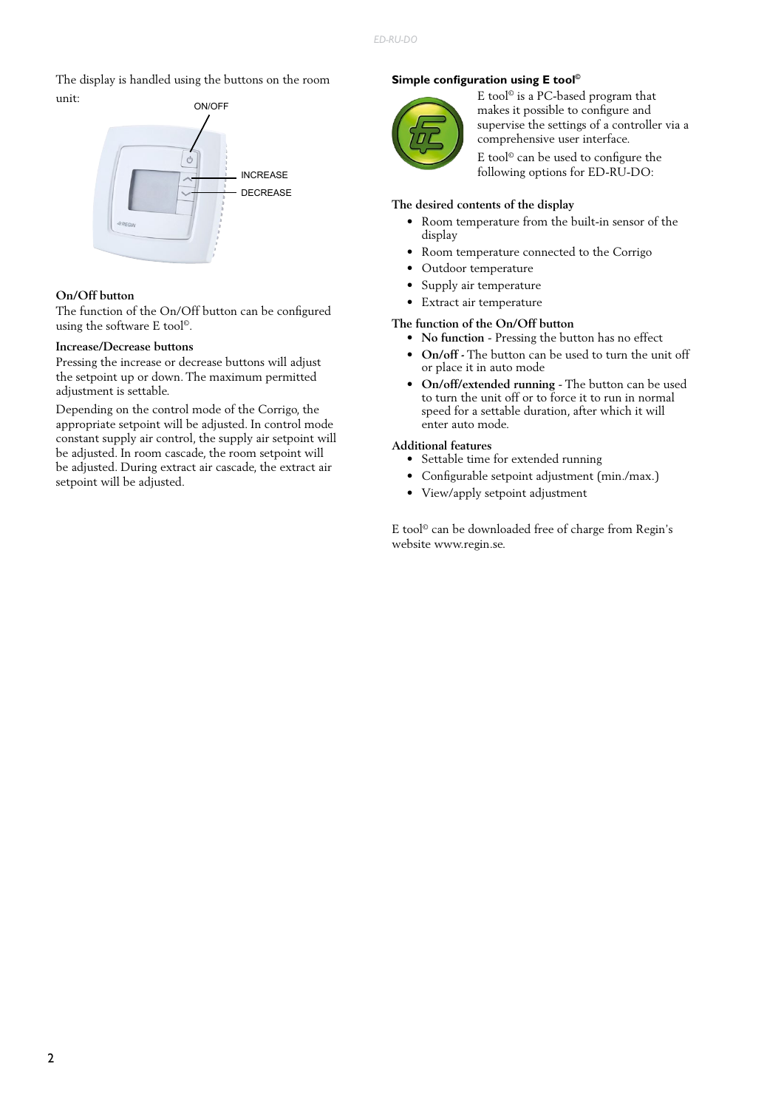The display is handled using the buttons on the room unit:



#### **On/Off button**

The function of the On/Off button can be configured using the software E tool©.

#### **Increase/Decrease buttons**

Pressing the increase or decrease buttons will adjust the setpoint up or down. The maximum permitted adjustment is settable.

Depending on the control mode of the Corrigo, the appropriate setpoint will be adjusted. In control mode constant supply air control, the supply air setpoint will be adjusted. In room cascade, the room setpoint will be adjusted. During extract air cascade, the extract air setpoint will be adjusted.

## **Simple configuration using E tool©**



E tool© is a PC-based program that makes it possible to configure and supervise the settings of a controller via a comprehensive user interface.

E tool© can be used to configure the following options for ED-RU-DO:

#### **The desired contents of the display**

- Room temperature from the built-in sensor of the display
- Room temperature connected to the Corrigo
- Outdoor temperature
- Supply air temperature
- Extract air temperature

### **The function of the On/Off button**

- **• No function** Pressing the button has no effect
- **• On/off -** The button can be used to turn the unit off or place it in auto mode
- **• On/off/extended running** The button can be used to turn the unit off or to force it to run in normal speed for a settable duration, after which it will enter auto mode.

# **Additional features**

- Settable time for extended running
- Configurable setpoint adjustment (min./max.)
- View/apply setpoint adjustment

E tool© can be downloaded free of charge from Regin's website www.regin.se.